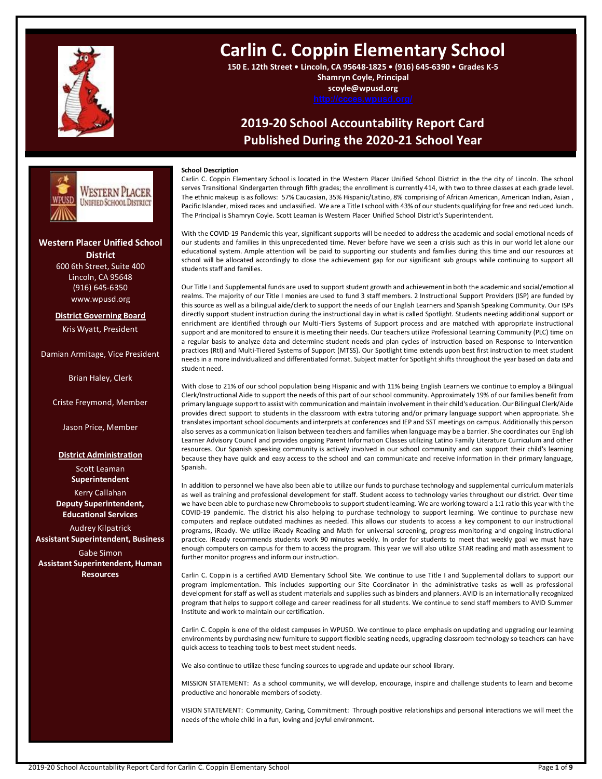

# **Carlin C. Coppin Elementary School**

**150 E. 12th Street • Lincoln, CA 95648-1825 • (916) 645-6390 • Grades K-5 Shamryn Coyle, Principal**

**scoyle@wpusd.org**

# **2019-20 School Accountability Report Card Published During the 2020-21 School Year**



Carlin C. Coppin Elementary School is located in the Western Placer Unified School District in the the city of Lincoln. The school serves Transitional Kindergarten through fifth grades; the enrollment is currently 414, with two to three classes at each grade level. The ethnic makeup is as follows: 57% Caucasian, 35% Hispanic/Latino, 8% comprising of African American, American Indian, Asian , Pacific Islander, mixed races and unclassified. We are a Title I school with 43% of our students qualifying for free and reduced lunch. The Principal is Shamryn Coyle. Scott Leaman is Western Placer Unified School District's Superintendent.

With the COVID-19 Pandemic this year, significant supports will be needed to address the academic and social emotional needs of our students and families in this unprecedented time. Never before have we seen a crisis such as this in our world let alone our educational system. Ample attention will be paid to supporting our students and families during this time and our resources at school will be allocated accordingly to close the achievement gap for our significant sub groups while continuing to support all students staff and families.

Our Title I and Supplemental funds are used to support student growth and achievement in both the academic and social/emotional realms. The majority of our Title I monies are used to fund 3 staff members. 2 Instructional Support Providers (ISP) are funded by this source as well as a bilingual aide/clerk to support the needs of our English Learners and Spanish Speaking Community. Our ISPs directly support student instruction during the instructional day in what is called Spotlight. Students needing additional support or enrichment are identified through our Multi-Tiers Systems of Support process and are matched with appropriate instructional support and are monitored to ensure it is meeting their needs. Our teachers utilize Professional Learning Community (PLC) time on a regular basis to analyze data and determine student needs and plan cycles of instruction based on Response to Intervention practices (RtI) and Multi-Tiered Systems of Support (MTSS). Our Spotlight time extends upon best first instruction to meet student needs in a more individualized and differentiated format. Subject matter for Spotlight shifts throughout the year based on data and student need.

With close to 21% of our school population being Hispanic and with 11% being English Learners we continue to employ a Bilingual Clerk/Instructional Aide to support the needs of this part of our school community. Approximately 19% of our families benefit from primary language support to assist with communication and maintain involvement in their child's education. Our Bilingual Clerk/Aide provides direct support to students in the classroom with extra tutoring and/or primary language support when appropriate. She translates important school documents and interprets at conferences and IEP and SST meetings on campus. Additionally this person also serves as a communication liaison between teachers and families when language may be a barrier. She coordinates our English Learner Advisory Council and provides ongoing Parent Information Classes utilizing Latino Family Literature Curriculum and other resources. Our Spanish speaking community is actively involved in our school community and can support their child's learning because they have quick and easy access to the school and can communicate and receive information in their primary language, Spanish.

In addition to personnel we have also been able to utilize our funds to purchase technology and supplemental curriculum materials as well as training and professional development for staff. Student access to technology varies throughout our district. Over time we have been able to purchase new Chromebooks to support student learning. We are working toward a 1:1 ratio this year with the COVID-19 pandemic. The district his also helping to purchase technology to support learning. We continue to purchase new computers and replace outdated machines as needed. This allows our students to access a key component to our instructional programs, iReady. We utilize iReady Reading and Math for universal screening, progress monitoring and ongoing instructional practice. iReady recommends students work 90 minutes weekly. In order for students to meet that weekly goal we must have enough computers on campus for them to access the program. This year we will also utilize STAR reading and math assessment to further monitor progress and inform our instruction.

Carlin C. Coppin is a certified AVID Elementary School Site. We continue to use Title I and Supplemental dollars to support our program implementation. This includes supporting our Site Coordinator in the administrative tasks as well as professional development for staff as well as student materials and supplies such as binders and planners. AVID is an internationally recognized program that helps to support college and career readiness for all students. We continue to send staff members to AVID Summer Institute and work to maintain our certification.

Carlin C. Coppin is one of the oldest campuses in WPUSD. We continue to place emphasis on updating and upgrading our learning environments by purchasing new furniture to support flexible seating needs, upgrading classroom technology so teachers can have quick access to teaching tools to best meet student needs.

We also continue to utilize these funding sources to upgrade and update our school library.

MISSION STATEMENT: As a school community, we will develop, encourage, inspire and challenge students to learn and become productive and honorable members of society.

VISION STATEMENT: Community, Caring, Commitment: Through positive relationships and personal interactions we will meet the needs of the whole child in a fun, loving and joyful environment.

**Western Placer Unified School District** 600 6th Street, Suite 400 **---- ---**

ESTERN PLACER NIFIED SCHOOL DISTRICT

Lincoln, CA 95648 (916) 645-6350 www.wpusd.org

**District Governing Board** Kris Wyatt, President

Damian Armitage, Vice President

Brian Haley, Clerk

Criste Freymond, Member

Jason Price, Member

**District Administration**

Scott Leaman **Superintendent** Kerry Callahan **Deputy Superintendent, Educational Services**

Audrey Kilpatrick **Assistant Superintendent, Business**

Gabe Simon **Assistant Superintendent, Human Resources**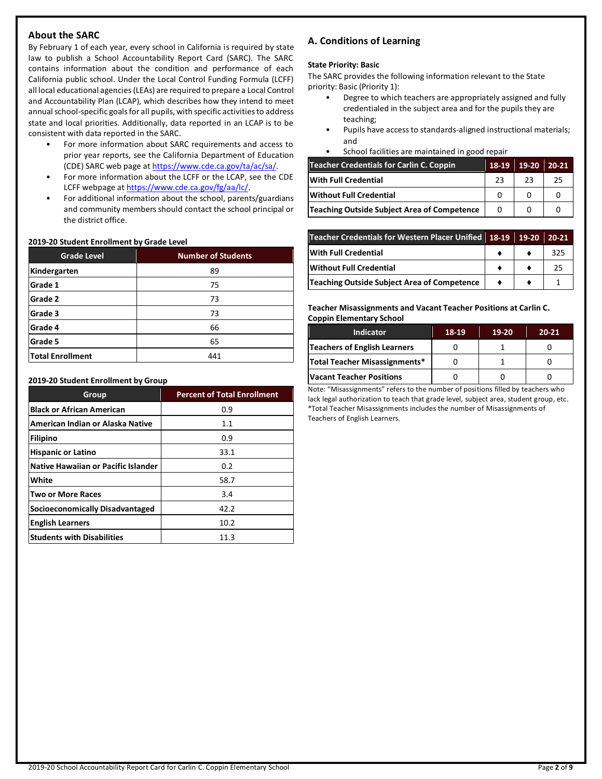# **About the SARC**

By February 1 of each year, every school in California is required by state law to publish a School Accountability Report Card (SARC). The SARC contains information about the condition and performance of each California public school. Under the Local Control Funding Formula (LCFF) all local educational agencies(LEAs) are required to prepare a Local Control and Accountability Plan (LCAP), which describes how they intend to meet annual school-specific goals for all pupils, with specific activities to address state and local priorities. Additionally, data reported in an LCAP is to be consistent with data reported in the SARC.

- For more information about SARC requirements and access to prior year reports, see the California Department of Education (CDE) SARC web page at [https://www.cde.ca.gov/ta/ac/sa/.](https://www.cde.ca.gov/ta/ac/sa/)
- For more information about the LCFF or the LCAP, see the CDE LCFF webpage a[t https://www.cde.ca.gov/fg/aa/lc/.](https://www.cde.ca.gov/fg/aa/lc/)
- For additional information about the school, parents/guardians and community members should contact the school principal or the district office.

# **2019-20 Student Enrollment by Grade Level**

| <b>Grade Level</b>      | <b>Number of Students</b> |
|-------------------------|---------------------------|
| Kindergarten            | 89                        |
| Grade 1                 | 75                        |
| Grade 2                 | 73                        |
| Grade 3                 | 73                        |
| Grade 4                 | 66                        |
| Grade 5                 | 65                        |
| <b>Total Enrollment</b> | 441                       |

#### **2019-20 Student Enrollment by Group**

| Group                                      | <b>Percent of Total Enrollment</b> |
|--------------------------------------------|------------------------------------|
| <b>Black or African American</b>           | 0.9                                |
| American Indian or Alaska Native           | 1.1                                |
| <b>Filipino</b>                            | 0.9                                |
| <b>Hispanic or Latino</b>                  | 33.1                               |
| <b>Native Hawaiian or Pacific Islander</b> | 0.2                                |
| White                                      | 58.7                               |
| <b>Two or More Races</b>                   | 3.4                                |
| Socioeconomically Disadvantaged            | 42.2                               |
| <b>English Learners</b>                    | 10.2                               |
| <b>Students with Disabilities</b>          | 11.3                               |

# **A. Conditions of Learning**

### **State Priority: Basic**

The SARC provides the following information relevant to the State priority: Basic (Priority 1):

- Degree to which teachers are appropriately assigned and fully credentialed in the subject area and for the pupils they are teaching;
- Pupils have access to standards-aligned instructional materials; and
- School facilities are maintained in good repair

| Teacher Credentials for Carlin C. Coppin    | 18-19    | $19-20$ | $20-21$ |
|---------------------------------------------|----------|---------|---------|
| With Full Credential                        | 23       | 23      | 25      |
| Without Full Credential                     |          |         |         |
| Teaching Outside Subject Area of Competence | $\Omega$ |         |         |

| Teacher Credentials for Western Placer Unified 18-19 19-20 20-21 |  |     |
|------------------------------------------------------------------|--|-----|
| With Full Credential                                             |  | 325 |
| Without Full Credential                                          |  | 25  |
| Teaching Outside Subject Area of Competence                      |  |     |

**Teacher Misassignments and Vacant Teacher Positions at Carlin C. Coppin Elementary School**

| <b>Indicator</b>              | 18-19 | 19-20 | $20 - 21$ |
|-------------------------------|-------|-------|-----------|
| Teachers of English Learners  |       |       |           |
| Total Teacher Misassignments* |       |       |           |
| Vacant Teacher Positions      |       |       |           |

Note: "Misassignments" refers to the number of positions filled by teachers who lack legal authorization to teach that grade level, subject area, student group, etc. \*Total Teacher Misassignments includes the number of Misassignments of Teachers of English Learners.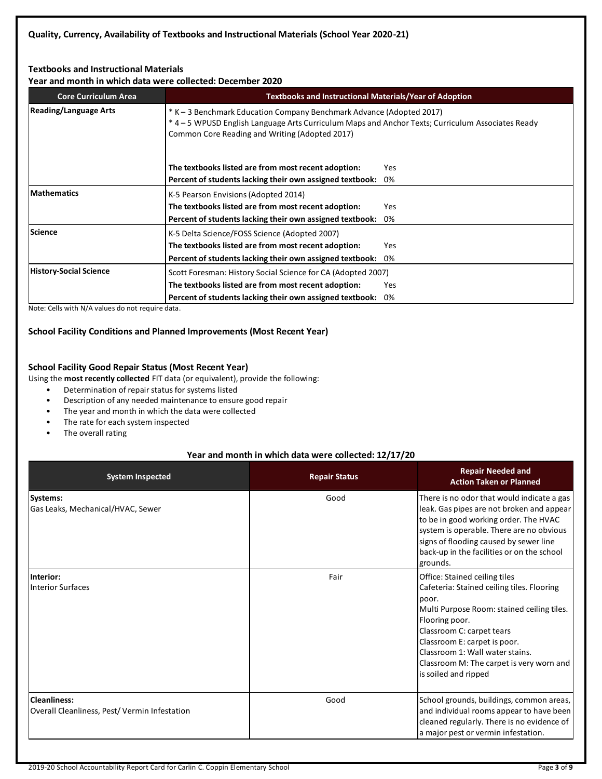# **Textbooks and Instructional Materials**

**Year and month in which data were collected: December 2020**

| <b>Core Curriculum Area</b>   | <b>Textbooks and Instructional Materials/Year of Adoption</b> |                                                                                                                                                                           |  |  |  |  |
|-------------------------------|---------------------------------------------------------------|---------------------------------------------------------------------------------------------------------------------------------------------------------------------------|--|--|--|--|
| <b>Reading/Language Arts</b>  | Common Core Reading and Writing (Adopted 2017)                | * K – 3 Benchmark Education Company Benchmark Advance (Adopted 2017)<br>* 4 - 5 WPUSD English Language Arts Curriculum Maps and Anchor Texts; Curriculum Associates Ready |  |  |  |  |
|                               | The textbooks listed are from most recent adoption:           | Yes                                                                                                                                                                       |  |  |  |  |
|                               | Percent of students lacking their own assigned textbook:      | 0%                                                                                                                                                                        |  |  |  |  |
| <b>Mathematics</b>            | K-5 Pearson Envisions (Adopted 2014)                          |                                                                                                                                                                           |  |  |  |  |
|                               | The textbooks listed are from most recent adoption:           | <b>Yes</b>                                                                                                                                                                |  |  |  |  |
|                               | Percent of students lacking their own assigned textbook:      | 0%                                                                                                                                                                        |  |  |  |  |
| Science                       | K-5 Delta Science/FOSS Science (Adopted 2007)                 |                                                                                                                                                                           |  |  |  |  |
|                               | The textbooks listed are from most recent adoption:           | <b>Yes</b>                                                                                                                                                                |  |  |  |  |
|                               | Percent of students lacking their own assigned textbook:      | 0%                                                                                                                                                                        |  |  |  |  |
| <b>History-Social Science</b> | Scott Foresman: History Social Science for CA (Adopted 2007)  |                                                                                                                                                                           |  |  |  |  |
|                               | The textbooks listed are from most recent adoption:           | Yes                                                                                                                                                                       |  |  |  |  |
|                               | Percent of students lacking their own assigned textbook:      | 0%                                                                                                                                                                        |  |  |  |  |

Note: Cells with N/A values do not require data.

# **School Facility Conditions and Planned Improvements (Most Recent Year)**

# **School Facility Good Repair Status (Most Recent Year)**

Using the **most recently collected** FIT data (or equivalent), provide the following:

- Determination of repair status for systems listed
- Description of any needed maintenance to ensure good repair
- The year and month in which the data were collected
- The rate for each system inspected
- The overall rating

# **Year and month in which data were collected: 12/17/20**

| <b>System Inspected</b>                                             | <b>Repair Status</b> | <b>Repair Needed and</b><br><b>Action Taken or Planned</b>                                                                                                                                                                                                                                                               |
|---------------------------------------------------------------------|----------------------|--------------------------------------------------------------------------------------------------------------------------------------------------------------------------------------------------------------------------------------------------------------------------------------------------------------------------|
| Systems:<br>Gas Leaks, Mechanical/HVAC, Sewer                       | Good                 | There is no odor that would indicate a gas<br>leak. Gas pipes are not broken and appear<br>to be in good working order. The HVAC<br>system is operable. There are no obvious<br>signs of flooding caused by sewer line<br>back-up in the facilities or on the school<br>grounds.                                         |
| Interior:<br><b>Interior Surfaces</b>                               | Fair                 | Office: Stained ceiling tiles<br>Cafeteria: Stained ceiling tiles. Flooring<br>poor.<br>Multi Purpose Room: stained ceiling tiles.<br>Flooring poor.<br>Classroom C: carpet tears<br>Classroom E: carpet is poor.<br>Classroom 1: Wall water stains.<br>Classroom M: The carpet is very worn and<br>is soiled and ripped |
| <b>Cleanliness:</b><br>Overall Cleanliness, Pest/Vermin Infestation | Good                 | School grounds, buildings, common areas,<br>and individual rooms appear to have been<br>cleaned regularly. There is no evidence of<br>a major pest or vermin infestation.                                                                                                                                                |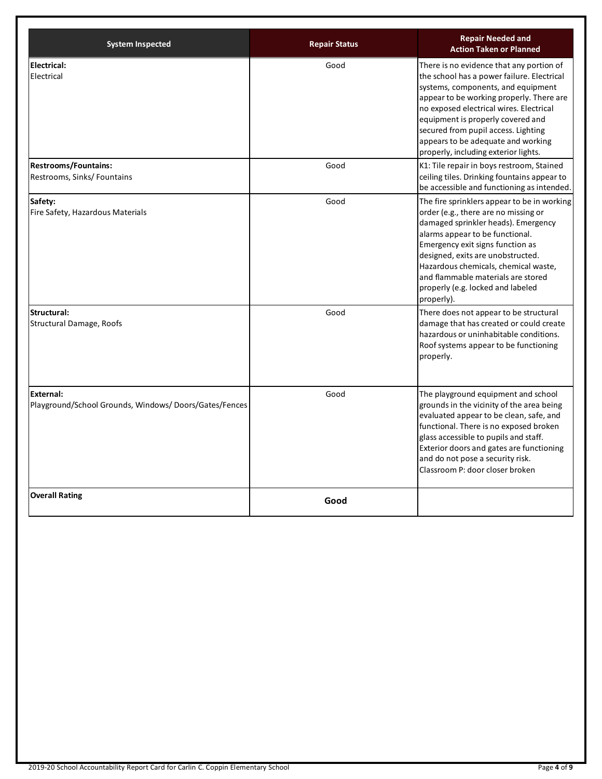| <b>System Inspected</b>                                            | <b>Repair Status</b> | <b>Repair Needed and</b><br><b>Action Taken or Planned</b>                                                                                                                                                                                                                                                                                                                    |
|--------------------------------------------------------------------|----------------------|-------------------------------------------------------------------------------------------------------------------------------------------------------------------------------------------------------------------------------------------------------------------------------------------------------------------------------------------------------------------------------|
| <b>Electrical:</b><br>Electrical                                   | Good                 | There is no evidence that any portion of<br>the school has a power failure. Electrical<br>systems, components, and equipment<br>appear to be working properly. There are<br>no exposed electrical wires. Electrical<br>equipment is properly covered and<br>secured from pupil access. Lighting<br>appears to be adequate and working<br>properly, including exterior lights. |
| <b>Restrooms/Fountains:</b><br>Restrooms, Sinks/Fountains          | Good                 | K1: Tile repair in boys restroom, Stained<br>ceiling tiles. Drinking fountains appear to<br>be accessible and functioning as intended.                                                                                                                                                                                                                                        |
| Safety:<br>Fire Safety, Hazardous Materials                        | Good                 | The fire sprinklers appear to be in working<br>order (e.g., there are no missing or<br>damaged sprinkler heads). Emergency<br>alarms appear to be functional.<br>Emergency exit signs function as<br>designed, exits are unobstructed.<br>Hazardous chemicals, chemical waste,<br>and flammable materials are stored<br>properly (e.g. locked and labeled<br>properly).       |
| Structural:<br><b>Structural Damage, Roofs</b>                     | Good                 | There does not appear to be structural<br>damage that has created or could create<br>hazardous or uninhabitable conditions.<br>Roof systems appear to be functioning<br>properly.                                                                                                                                                                                             |
| External:<br>Playground/School Grounds, Windows/Doors/Gates/Fences | Good                 | The playground equipment and school<br>grounds in the vicinity of the area being<br>evaluated appear to be clean, safe, and<br>functional. There is no exposed broken<br>glass accessible to pupils and staff.<br>Exterior doors and gates are functioning<br>and do not pose a security risk.<br>Classroom P: door closer broken                                             |
| <b>Overall Rating</b>                                              | Good                 |                                                                                                                                                                                                                                                                                                                                                                               |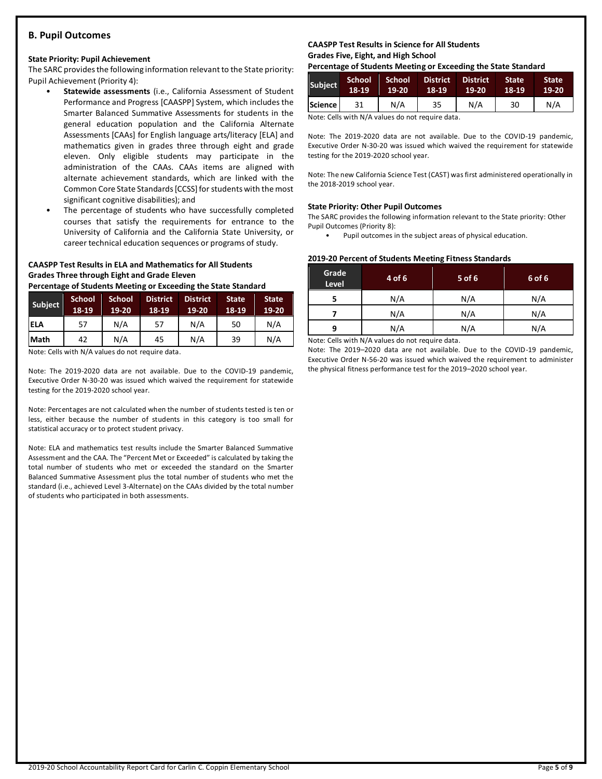# **B. Pupil Outcomes**

#### **State Priority: Pupil Achievement**

The SARC provides the following information relevant to the State priority: Pupil Achievement (Priority 4):

- **Statewide assessments** (i.e., California Assessment of Student Performance and Progress [CAASPP] System, which includes the Smarter Balanced Summative Assessments for students in the general education population and the California Alternate Assessments [CAAs] for English language arts/literacy [ELA] and mathematics given in grades three through eight and grade eleven. Only eligible students may participate in the administration of the CAAs. CAAs items are aligned with alternate achievement standards, which are linked with the Common Core State Standards [CCSS] for students with the most significant cognitive disabilities); and
- The percentage of students who have successfully completed courses that satisfy the requirements for entrance to the University of California and the California State University, or career technical education sequences or programs of study.

# **CAASPP Test Results in ELA and Mathematics for All Students Grades Three through Eight and Grade Eleven**

**Percentage of Students Meeting or Exceeding the State Standard**

| <b>Subject</b> | <b>School</b><br>18-19 | <b>School</b><br>19-20 | <b>District</b><br>18-19 | <b>District</b><br>$19-20$ | <b>State</b><br>18-19 | <b>State</b><br>19-20 |
|----------------|------------------------|------------------------|--------------------------|----------------------------|-----------------------|-----------------------|
| <b>ELA</b>     | 57                     | N/A                    | 57                       | N/A                        | 50                    | N/A                   |
| Math           | 42                     | N/A                    | 45                       | N/A                        | 39                    | N/A                   |

Note: Cells with N/A values do not require data.

Note: The 2019-2020 data are not available. Due to the COVID-19 pandemic, Executive Order N-30-20 was issued which waived the requirement for statewide testing for the 2019-2020 school year.

Note: Percentages are not calculated when the number of students tested is ten or less, either because the number of students in this category is too small for statistical accuracy or to protect student privacy.

Note: ELA and mathematics test results include the Smarter Balanced Summative Assessment and the CAA. The "Percent Met or Exceeded" is calculated by taking the total number of students who met or exceeded the standard on the Smarter Balanced Summative Assessment plus the total number of students who met the standard (i.e., achieved Level 3-Alternate) on the CAAs divided by the total number of students who participated in both assessments.

# **CAASPP Test Results in Science for All Students Grades Five, Eight, and High School**

**Percentage of Students Meeting or Exceeding the State Standard**

| <b>Subject</b> | 'School,<br>18-19 | School<br>$19 - 20$ | <b>District</b><br>18-19 | <b>District</b><br>19-20 | <b>State</b><br>18-19 | <b>State</b><br>19-20 |
|----------------|-------------------|---------------------|--------------------------|--------------------------|-----------------------|-----------------------|
| Science l      |                   | N/A                 | 35                       | N/A                      | 30                    | N/A                   |

Note: Cells with N/A values do not require data.

Note: The 2019-2020 data are not available. Due to the COVID-19 pandemic, Executive Order N-30-20 was issued which waived the requirement for statewide testing for the 2019-2020 school year.

Note: The new California Science Test (CAST) was first administered operationally in the 2018-2019 school year.

### **State Priority: Other Pupil Outcomes**

The SARC provides the following information relevant to the State priority: Other Pupil Outcomes (Priority 8):

Pupil outcomes in the subject areas of physical education.

#### **2019-20 Percent of Students Meeting Fitness Standards**

| Grade<br>Level | 4 of 6 | 5 of 6 | 6 of 6 |
|----------------|--------|--------|--------|
|                | N/A    | N/A    | N/A    |
|                | N/A    | N/A    | N/A    |
| N/A<br>q       |        | N/A    | N/A    |

Note: Cells with N/A values do not require data.

Note: The 2019–2020 data are not available. Due to the COVID-19 pandemic, Executive Order N-56-20 was issued which waived the requirement to administer the physical fitness performance test for the 2019–2020 school year.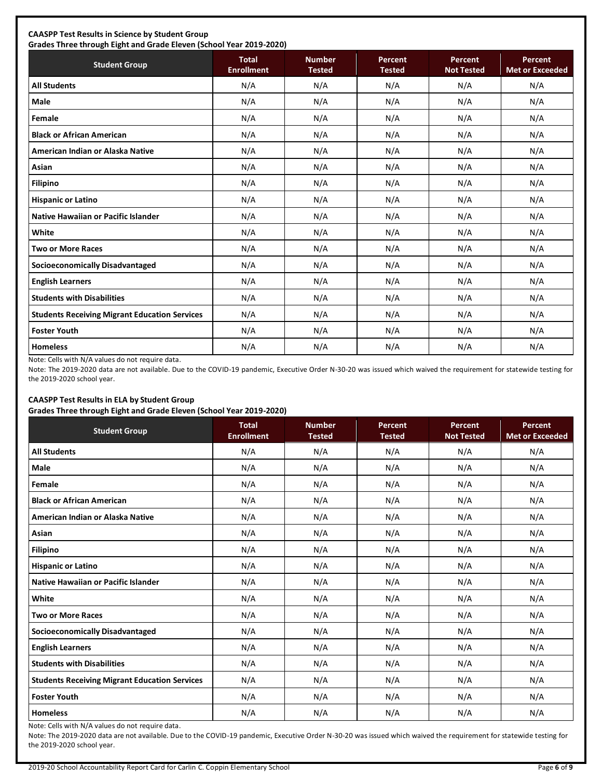# **CAASPP Test Results in Science by Student Group**

**Grades Three through Eight and Grade Eleven (School Year 2019-2020) Student Group Total Total Enrollment Number Tested Percent Tested Percent Not Tested Percent Met or Exceeded All Students** N/A N/A N/A N/A N/A **Male** N/A N/A N/A N/A N/A **Female** N/A N/A N/A N/A N/A **Black or African American** N/A N/A N/A N/A N/A **American Indian or Alaska Native** N/A N/A N/A N/A N/A **Asian** N/A N/A N/A N/A N/A **Filipino** N/A N/A N/A N/A N/A **Hispanic or Latino N/A N/A N/A N/A** N/A **Native Hawaiian or Pacific Islander**  $\begin{vmatrix} N/A & N/A & N/A & N/A \end{vmatrix}$  N/A N/A N/A N/A **White** N/A N/A N/A N/A N/A **Two or More Races** N/A N/A N/A N/A N/A **Socioeconomically Disadvantaged** N/A N/A N/A N/A N/A **English Learners** N/A N/A N/A N/A N/A **Students with Disabilities** N/A N/A N/A N/A N/A **Students Receiving Migrant Education Services | N/A | N/A | N/A | N/A | N/A | N/A Foster Youth** N/A N/A N/A N/A N/A **Homeless** N/A N/A N/A N/A N/A

Note: Cells with N/A values do not require data.

Note: The 2019-2020 data are not available. Due to the COVID-19 pandemic, Executive Order N-30-20 was issued which waived the requirement for statewide testing for the 2019-2020 school year.

# **CAASPP Test Results in ELA by Student Group**

**Grades Three through Eight and Grade Eleven (School Year 2019-2020)**

| <b>Student Group</b>                                 | <b>Total</b><br><b>Enrollment</b> | <b>Number</b><br><b>Tested</b> | Percent<br><b>Tested</b> | Percent<br><b>Not Tested</b> | Percent<br><b>Met or Exceeded</b> |
|------------------------------------------------------|-----------------------------------|--------------------------------|--------------------------|------------------------------|-----------------------------------|
| <b>All Students</b>                                  | N/A                               | N/A                            | N/A                      | N/A                          | N/A                               |
| <b>Male</b>                                          | N/A                               | N/A                            | N/A                      | N/A                          | N/A                               |
| Female                                               | N/A                               | N/A                            | N/A                      | N/A                          | N/A                               |
| <b>Black or African American</b>                     | N/A                               | N/A                            | N/A                      | N/A                          | N/A                               |
| American Indian or Alaska Native                     | N/A                               | N/A                            | N/A                      | N/A                          | N/A                               |
| Asian                                                | N/A                               | N/A                            | N/A                      | N/A                          | N/A                               |
| <b>Filipino</b>                                      | N/A                               | N/A                            | N/A                      | N/A                          | N/A                               |
| <b>Hispanic or Latino</b>                            | N/A                               | N/A                            | N/A                      | N/A                          | N/A                               |
| Native Hawaiian or Pacific Islander                  | N/A                               | N/A                            | N/A                      | N/A                          | N/A                               |
| White                                                | N/A                               | N/A                            | N/A                      | N/A                          | N/A                               |
| <b>Two or More Races</b>                             | N/A                               | N/A                            | N/A                      | N/A                          | N/A                               |
| <b>Socioeconomically Disadvantaged</b>               | N/A                               | N/A                            | N/A                      | N/A                          | N/A                               |
| <b>English Learners</b>                              | N/A                               | N/A                            | N/A                      | N/A                          | N/A                               |
| <b>Students with Disabilities</b>                    | N/A                               | N/A                            | N/A                      | N/A                          | N/A                               |
| <b>Students Receiving Migrant Education Services</b> | N/A                               | N/A                            | N/A                      | N/A                          | N/A                               |
| <b>Foster Youth</b>                                  | N/A                               | N/A                            | N/A                      | N/A                          | N/A                               |
| <b>Homeless</b>                                      | N/A                               | N/A                            | N/A                      | N/A                          | N/A                               |

Note: Cells with N/A values do not require data.

Note: The 2019-2020 data are not available. Due to the COVID-19 pandemic, Executive Order N-30-20 was issued which waived the requirement for statewide testing for the 2019-2020 school year.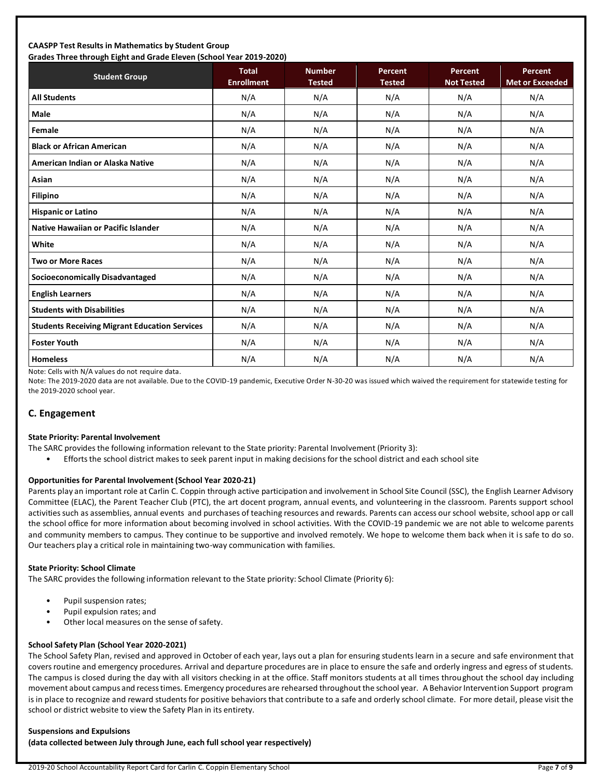# **CAASPP Test Results in Mathematics by Student Group Grades Three through Eight and Grade Eleven (School Year 2019-2020)**

| Grades Three through Eight and Grade Eleven (School Tear 2019-2020) | <b>Total</b>      | <b>Number</b> | <b>Percent</b> | Percent           | Percent                |
|---------------------------------------------------------------------|-------------------|---------------|----------------|-------------------|------------------------|
| <b>Student Group</b>                                                | <b>Enrollment</b> | <b>Tested</b> | <b>Tested</b>  | <b>Not Tested</b> | <b>Met or Exceeded</b> |
| <b>All Students</b>                                                 | N/A               | N/A           | N/A            | N/A               | N/A                    |
| Male                                                                | N/A               | N/A           | N/A            | N/A               | N/A                    |
| Female                                                              | N/A               | N/A           | N/A            | N/A               | N/A                    |
| <b>Black or African American</b>                                    | N/A               | N/A           | N/A            | N/A               | N/A                    |
| American Indian or Alaska Native                                    | N/A               | N/A           | N/A            | N/A               | N/A                    |
| Asian                                                               | N/A               | N/A           | N/A            | N/A               | N/A                    |
| <b>Filipino</b>                                                     | N/A               | N/A           | N/A            | N/A               | N/A                    |
| <b>Hispanic or Latino</b>                                           | N/A               | N/A           | N/A            | N/A               | N/A                    |
| Native Hawaiian or Pacific Islander                                 | N/A               | N/A           | N/A            | N/A               | N/A                    |
| White                                                               | N/A               | N/A           | N/A            | N/A               | N/A                    |
| <b>Two or More Races</b>                                            | N/A               | N/A           | N/A            | N/A               | N/A                    |
| <b>Socioeconomically Disadvantaged</b>                              | N/A               | N/A           | N/A            | N/A               | N/A                    |
| <b>English Learners</b>                                             | N/A               | N/A           | N/A            | N/A               | N/A                    |
| <b>Students with Disabilities</b>                                   | N/A               | N/A           | N/A            | N/A               | N/A                    |
| <b>Students Receiving Migrant Education Services</b>                | N/A               | N/A           | N/A            | N/A               | N/A                    |
| <b>Foster Youth</b>                                                 | N/A               | N/A           | N/A            | N/A               | N/A                    |
| <b>Homeless</b>                                                     | N/A               | N/A           | N/A            | N/A               | N/A                    |

Note: Cells with N/A values do not require data.

Note: The 2019-2020 data are not available. Due to the COVID-19 pandemic, Executive Order N-30-20 was issued which waived the requirement for statewide testing for the 2019-2020 school year.

# **C. Engagement**

#### **State Priority: Parental Involvement**

- The SARC provides the following information relevant to the State priority: Parental Involvement (Priority 3):
	- Efforts the school district makes to seek parent input in making decisions for the school district and each school site

#### **Opportunities for Parental Involvement (School Year 2020-21)**

Parents play an important role at Carlin C. Coppin through active participation and involvement in School Site Council (SSC), the English Learner Advisory Committee (ELAC), the Parent Teacher Club (PTC), the art docent program, annual events, and volunteering in the classroom. Parents support school activities such as assemblies, annual events and purchases of teaching resources and rewards. Parents can access our school website, school app or call the school office for more information about becoming involved in school activities. With the COVID-19 pandemic we are not able to welcome parents and community members to campus. They continue to be supportive and involved remotely. We hope to welcome them back when it is safe to do so. Our teachers play a critical role in maintaining two-way communication with families.

# **State Priority: School Climate**

The SARC provides the following information relevant to the State priority: School Climate (Priority 6):

- Pupil suspension rates;
- Pupil expulsion rates; and
- Other local measures on the sense of safety.

# **School Safety Plan (School Year 2020-2021)**

The School Safety Plan, revised and approved in October of each year, lays out a plan for ensuring students learn in a secure and safe environment that covers routine and emergency procedures. Arrival and departure procedures are in place to ensure the safe and orderly ingress and egress of students. The campus is closed during the day with all visitors checking in at the office. Staff monitors students at all times throughout the school day including movement about campus and recess times. Emergency procedures are rehearsed throughout the school year. A Behavior Intervention Support program is in place to recognize and reward students for positive behaviors that contribute to a safe and orderly school climate. For more detail, please visit the school or district website to view the Safety Plan in its entirety.

#### **Suspensions and Expulsions**

**(data collected between July through June, each full school year respectively)**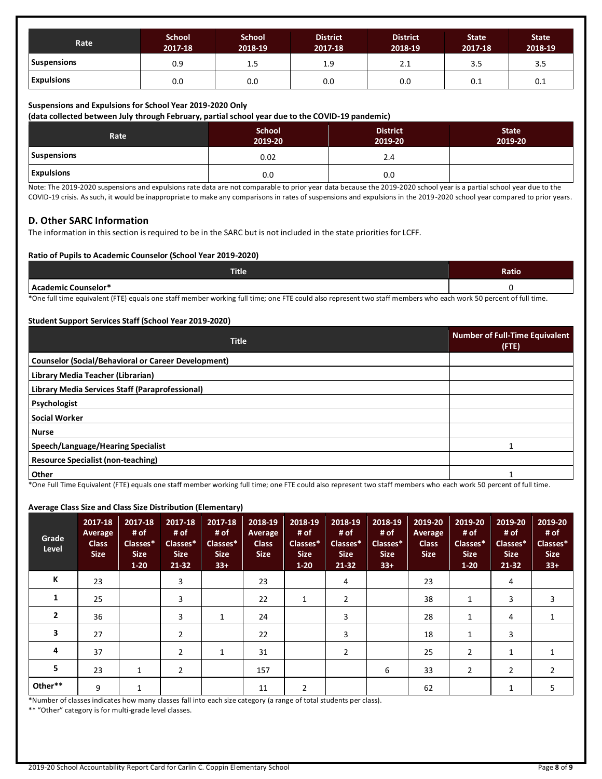| Rate               | <b>School</b><br>2017-18 | <b>School</b><br>2018-19 | <b>District</b><br>2017-18 | <b>District</b><br>2018-19 | <b>State</b><br>2017-18 | <b>State</b><br>2018-19 |
|--------------------|--------------------------|--------------------------|----------------------------|----------------------------|-------------------------|-------------------------|
| <b>Suspensions</b> | 0.9                      | 1.5                      | 1.9                        | 2.1                        | 3.5                     | 3.5                     |
| <b>Expulsions</b>  | 0.0                      | 0.0                      | 0.0                        | 0.0                        | U. L                    | 0.1                     |

### **Suspensions and Expulsions for School Year 2019-2020 Only**

**(data collected between July through February, partial school year due to the COVID-19 pandemic)**

| Rate              | <b>School</b><br>2019-20 | <b>District</b><br>2019-20 | <b>State</b><br>2019-20 |
|-------------------|--------------------------|----------------------------|-------------------------|
| Suspensions       | 0.02                     | 2.4                        |                         |
| <b>Expulsions</b> | 0.0                      | 0.0                        |                         |

Note: The 2019-2020 suspensions and expulsions rate data are not comparable to prior year data because the 2019-2020 school year is a partial school year due to the COVID-19 crisis. As such, it would be inappropriate to make any comparisons in rates of suspensions and expulsions in the 2019-2020 school year compared to prior years.

# **D. Other SARC Information**

The information in this section is required to be in the SARC but is not included in the state priorities for LCFF.

### **Ratio of Pupils to Academic Counselor (School Year 2019-2020)**

| <b>Title</b>        | Ratio |
|---------------------|-------|
| Academic Counselor* |       |

\*One full time equivalent (FTE) equals one staff member working full time; one FTE could also represent two staff members who each work 50 percent of full time.

### **Student Support Services Staff (School Year 2019-2020)**

| <b>Title</b>                                                                                    | <b>Number of Full-Time Equivalent</b><br>$($ FTE $)$ |
|-------------------------------------------------------------------------------------------------|------------------------------------------------------|
| <b>Counselor (Social/Behavioral or Career Development)</b>                                      |                                                      |
| Library Media Teacher (Librarian)                                                               |                                                      |
| Library Media Services Staff (Paraprofessional)                                                 |                                                      |
| Psychologist                                                                                    |                                                      |
| <b>Social Worker</b>                                                                            |                                                      |
| <b>Nurse</b>                                                                                    |                                                      |
| Speech/Language/Hearing Specialist                                                              |                                                      |
| Resource Specialist (non-teaching)                                                              |                                                      |
| Other<br>$\sim$ $\sim$ $\sim$<br>and the state of the state of the<br>.<br>$\sim$ $\sim$ $\sim$ |                                                      |

\*One Full Time Equivalent (FTE) equals one staff member working full time; one FTE could also represent two staff members who each work 50 percent of full time.

# **Average Class Size and Class Size Distribution (Elementary)**

| Grade<br>Level | 2017-18<br>Average<br><b>Class</b><br><b>Size</b> | 2017-18<br># of<br>Classes*<br><b>Size</b><br>$1 - 20$ | 2017-18<br># of<br>Classes*<br><b>Size</b><br>21-32 | 2017-18<br># of<br>Classes*<br><b>Size</b><br>$33+$ | 2018-19<br>Average<br><b>Class</b><br><b>Size</b> | 2018-19<br># of<br>Classes*<br><b>Size</b><br>$1-20$ | 2018-19<br># of<br>Classes*<br><b>Size</b><br>$21 - 32$ | 2018-19<br># of<br>Classes*<br><b>Size</b><br>$33+$ | 2019-20<br>Average<br><b>Class</b><br><b>Size</b> | 2019-20<br># of<br>Classes*<br><b>Size</b><br>$1 - 20$ | 2019-20<br># of<br>Classes*<br><b>Size</b><br>$21 - 32$ | 2019-20<br># of<br>Classes*<br><b>Size</b><br>$33+$ |
|----------------|---------------------------------------------------|--------------------------------------------------------|-----------------------------------------------------|-----------------------------------------------------|---------------------------------------------------|------------------------------------------------------|---------------------------------------------------------|-----------------------------------------------------|---------------------------------------------------|--------------------------------------------------------|---------------------------------------------------------|-----------------------------------------------------|
| К              | 23                                                |                                                        | 3                                                   |                                                     | 23                                                |                                                      | 4                                                       |                                                     | 23                                                |                                                        | 4                                                       |                                                     |
| 1              | 25                                                |                                                        | 3                                                   |                                                     | 22                                                | 1                                                    | $\overline{2}$                                          |                                                     | 38                                                | 1                                                      | 3                                                       | 3                                                   |
| $\overline{2}$ | 36                                                |                                                        | 3                                                   | 1                                                   | 24                                                |                                                      | 3                                                       |                                                     | 28                                                | 1                                                      | 4                                                       |                                                     |
| 3              | 27                                                |                                                        | $\overline{2}$                                      |                                                     | 22                                                |                                                      | 3                                                       |                                                     | 18                                                | 1                                                      | 3                                                       |                                                     |
| 4              | 37                                                |                                                        | 2                                                   | 1                                                   | 31                                                |                                                      | $\overline{2}$                                          |                                                     | 25                                                | $\overline{2}$                                         | 1                                                       |                                                     |
| 5              | 23                                                | 1                                                      | 2                                                   |                                                     | 157                                               |                                                      |                                                         | 6                                                   | 33                                                | $\overline{2}$                                         | 2                                                       | 2                                                   |
| Other**        | 9                                                 | 1                                                      |                                                     |                                                     | 11                                                | 2                                                    |                                                         |                                                     | 62                                                |                                                        | 1                                                       | 5                                                   |

\*Number of classes indicates how many classes fall into each size category (a range of total students per class).

\*\* "Other" category is for multi-grade level classes.